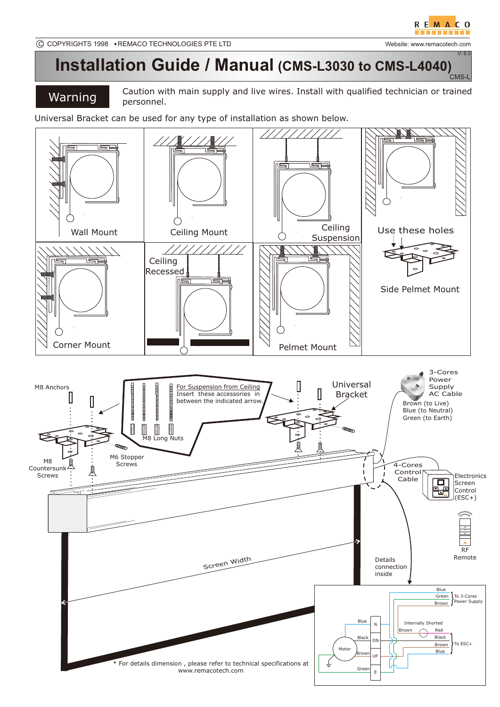V: 6.0

## **Installation Guide / Manual (CMS-L3030 to CMS-L4040)** CMS-L

## Warning

Caution with main supply and live wires. Install with qualified technician or trained personnel.

Universal Bracket can be used for any type of installation as shown below.

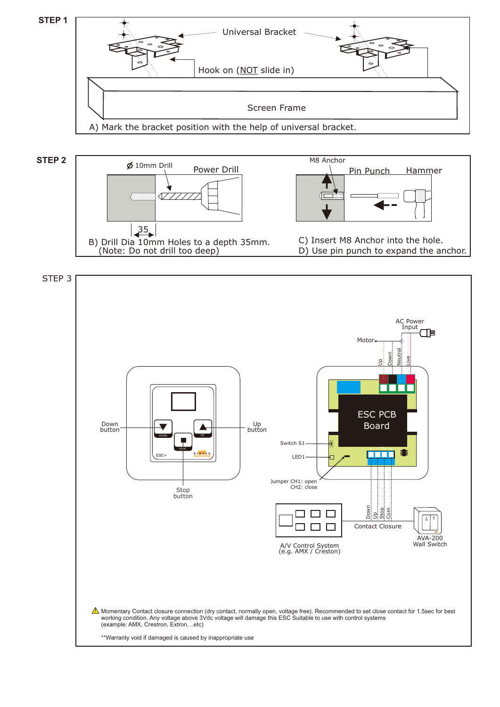